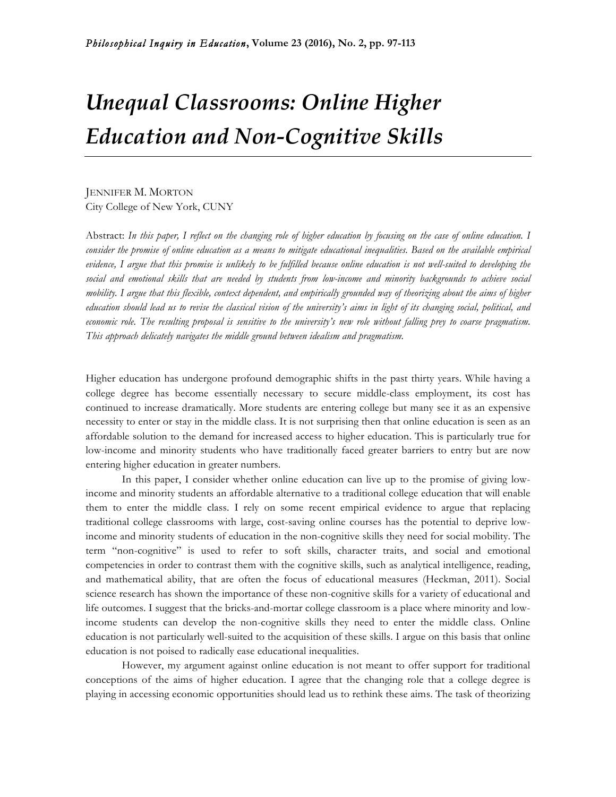# *Unequal Classrooms: Online Higher Education and Non-Cognitive Skills*

JENNIFER M. MORTON City College of New York, CUNY

Abstract: *In this paper, I reflect on the changing role of higher education by focusing on the case of online education. I consider the promise of online education as a means to mitigate educational inequalities. Based on the available empirical evidence, I argue that this promise is unlikely to be fulfilled because online education is not well-suited to developing the social and emotional skills that are needed by students from low-income and minority backgrounds to achieve social mobility. I argue that this flexible, context dependent, and empirically grounded way of theorizing about the aims of higher education should lead us to revise the classical vision of the university's aims in light of its changing social, political, and economic role. The resulting proposal is sensitive to the university's new role without falling prey to coarse pragmatism. This approach delicately navigates the middle ground between idealism and pragmatism.*

Higher education has undergone profound demographic shifts in the past thirty years. While having a college degree has become essentially necessary to secure middle-class employment, its cost has continued to increase dramatically. More students are entering college but many see it as an expensive necessity to enter or stay in the middle class. It is not surprising then that online education is seen as an affordable solution to the demand for increased access to higher education. This is particularly true for low-income and minority students who have traditionally faced greater barriers to entry but are now entering higher education in greater numbers.

In this paper, I consider whether online education can live up to the promise of giving lowincome and minority students an affordable alternative to a traditional college education that will enable them to enter the middle class. I rely on some recent empirical evidence to argue that replacing traditional college classrooms with large, cost-saving online courses has the potential to deprive lowincome and minority students of education in the non-cognitive skills they need for social mobility. The term "non-cognitive" is used to refer to soft skills, character traits, and social and emotional competencies in order to contrast them with the cognitive skills, such as analytical intelligence, reading, and mathematical ability, that are often the focus of educational measures (Heckman, 2011). Social science research has shown the importance of these non-cognitive skills for a variety of educational and life outcomes. I suggest that the bricks-and-mortar college classroom is a place where minority and lowincome students can develop the non-cognitive skills they need to enter the middle class. Online education is not particularly well-suited to the acquisition of these skills. I argue on this basis that online education is not poised to radically ease educational inequalities.

However, my argument against online education is not meant to offer support for traditional conceptions of the aims of higher education. I agree that the changing role that a college degree is playing in accessing economic opportunities should lead us to rethink these aims. The task of theorizing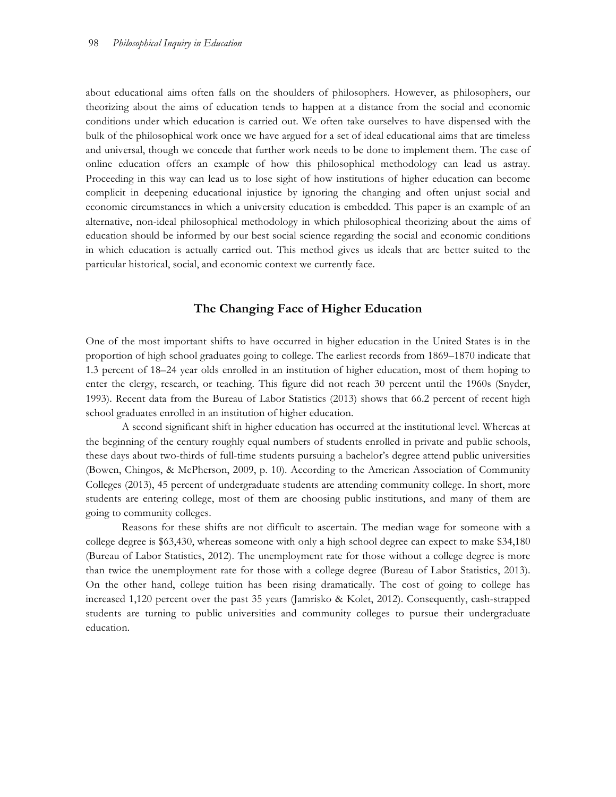about educational aims often falls on the shoulders of philosophers. However, as philosophers, our theorizing about the aims of education tends to happen at a distance from the social and economic conditions under which education is carried out. We often take ourselves to have dispensed with the bulk of the philosophical work once we have argued for a set of ideal educational aims that are timeless and universal, though we concede that further work needs to be done to implement them. The case of online education offers an example of how this philosophical methodology can lead us astray. Proceeding in this way can lead us to lose sight of how institutions of higher education can become complicit in deepening educational injustice by ignoring the changing and often unjust social and economic circumstances in which a university education is embedded. This paper is an example of an alternative, non-ideal philosophical methodology in which philosophical theorizing about the aims of education should be informed by our best social science regarding the social and economic conditions in which education is actually carried out. This method gives us ideals that are better suited to the particular historical, social, and economic context we currently face.

## **The Changing Face of Higher Education**

One of the most important shifts to have occurred in higher education in the United States is in the proportion of high school graduates going to college. The earliest records from 1869–1870 indicate that 1.3 percent of 18–24 year olds enrolled in an institution of higher education, most of them hoping to enter the clergy, research, or teaching. This figure did not reach 30 percent until the 1960s (Snyder, 1993). Recent data from the Bureau of Labor Statistics (2013) shows that 66.2 percent of recent high school graduates enrolled in an institution of higher education.

A second significant shift in higher education has occurred at the institutional level. Whereas at the beginning of the century roughly equal numbers of students enrolled in private and public schools, these days about two-thirds of full-time students pursuing a bachelor's degree attend public universities (Bowen, Chingos, & McPherson, 2009, p. 10). According to the American Association of Community Colleges (2013), 45 percent of undergraduate students are attending community college. In short, more students are entering college, most of them are choosing public institutions, and many of them are going to community colleges.

Reasons for these shifts are not difficult to ascertain. The median wage for someone with a college degree is \$63,430, whereas someone with only a high school degree can expect to make \$34,180 (Bureau of Labor Statistics, 2012). The unemployment rate for those without a college degree is more than twice the unemployment rate for those with a college degree (Bureau of Labor Statistics, 2013). On the other hand, college tuition has been rising dramatically. The cost of going to college has increased 1,120 percent over the past 35 years (Jamrisko & Kolet, 2012). Consequently, cash-strapped students are turning to public universities and community colleges to pursue their undergraduate education.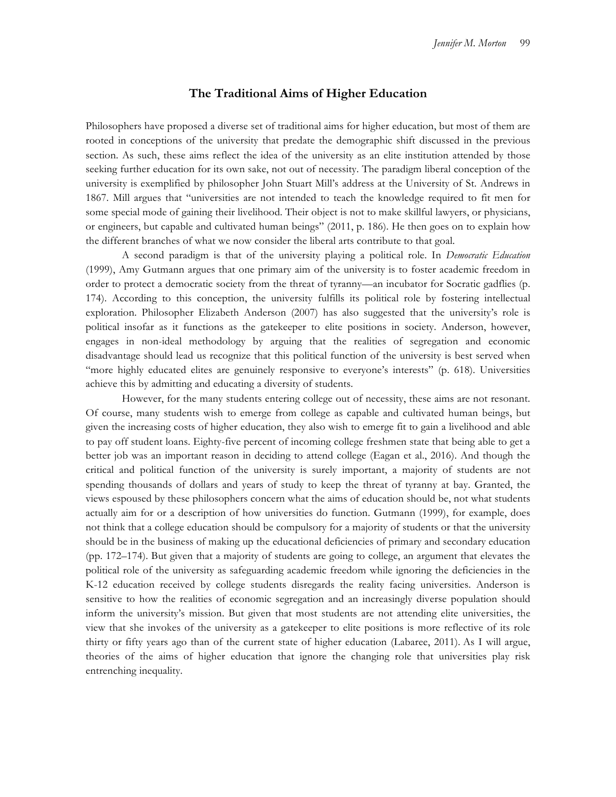## **The Traditional Aims of Higher Education**

Philosophers have proposed a diverse set of traditional aims for higher education, but most of them are rooted in conceptions of the university that predate the demographic shift discussed in the previous section. As such, these aims reflect the idea of the university as an elite institution attended by those seeking further education for its own sake, not out of necessity. The paradigm liberal conception of the university is exemplified by philosopher John Stuart Mill's address at the University of St. Andrews in 1867. Mill argues that "universities are not intended to teach the knowledge required to fit men for some special mode of gaining their livelihood. Their object is not to make skillful lawyers, or physicians, or engineers, but capable and cultivated human beings" (2011, p. 186). He then goes on to explain how the different branches of what we now consider the liberal arts contribute to that goal.

A second paradigm is that of the university playing a political role. In *Democratic Education* (1999), Amy Gutmann argues that one primary aim of the university is to foster academic freedom in order to protect a democratic society from the threat of tyranny—an incubator for Socratic gadflies (p. 174). According to this conception, the university fulfills its political role by fostering intellectual exploration. Philosopher Elizabeth Anderson (2007) has also suggested that the university's role is political insofar as it functions as the gatekeeper to elite positions in society. Anderson, however, engages in non-ideal methodology by arguing that the realities of segregation and economic disadvantage should lead us recognize that this political function of the university is best served when "more highly educated elites are genuinely responsive to everyone's interests" (p. 618). Universities achieve this by admitting and educating a diversity of students.

However, for the many students entering college out of necessity, these aims are not resonant. Of course, many students wish to emerge from college as capable and cultivated human beings, but given the increasing costs of higher education, they also wish to emerge fit to gain a livelihood and able to pay off student loans. Eighty-five percent of incoming college freshmen state that being able to get a better job was an important reason in deciding to attend college (Eagan et al., 2016). And though the critical and political function of the university is surely important, a majority of students are not spending thousands of dollars and years of study to keep the threat of tyranny at bay. Granted, the views espoused by these philosophers concern what the aims of education should be, not what students actually aim for or a description of how universities do function. Gutmann (1999), for example, does not think that a college education should be compulsory for a majority of students or that the university should be in the business of making up the educational deficiencies of primary and secondary education (pp. 172–174). But given that a majority of students are going to college, an argument that elevates the political role of the university as safeguarding academic freedom while ignoring the deficiencies in the K-12 education received by college students disregards the reality facing universities. Anderson is sensitive to how the realities of economic segregation and an increasingly diverse population should inform the university's mission. But given that most students are not attending elite universities, the view that she invokes of the university as a gatekeeper to elite positions is more reflective of its role thirty or fifty years ago than of the current state of higher education (Labaree, 2011). As I will argue, theories of the aims of higher education that ignore the changing role that universities play risk entrenching inequality.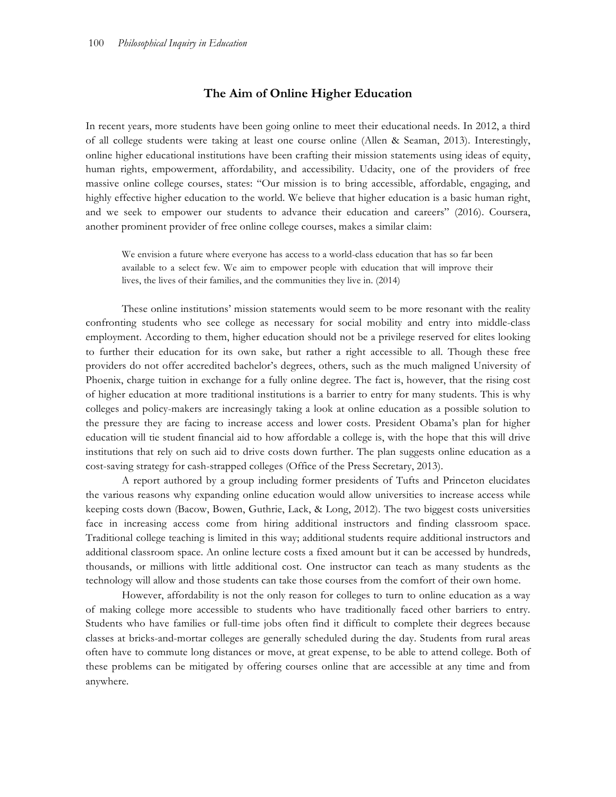# **The Aim of Online Higher Education**

In recent years, more students have been going online to meet their educational needs. In 2012, a third of all college students were taking at least one course online (Allen & Seaman, 2013). Interestingly, online higher educational institutions have been crafting their mission statements using ideas of equity, human rights, empowerment, affordability, and accessibility. Udacity, one of the providers of free massive online college courses, states: "Our mission is to bring accessible, affordable, engaging, and highly effective higher education to the world. We believe that higher education is a basic human right, and we seek to empower our students to advance their education and careers" (2016). Coursera, another prominent provider of free online college courses, makes a similar claim:

We envision a future where everyone has access to a world-class education that has so far been available to a select few. We aim to empower people with education that will improve their lives, the lives of their families, and the communities they live in. (2014)

These online institutions' mission statements would seem to be more resonant with the reality confronting students who see college as necessary for social mobility and entry into middle-class employment. According to them, higher education should not be a privilege reserved for elites looking to further their education for its own sake, but rather a right accessible to all. Though these free providers do not offer accredited bachelor's degrees, others, such as the much maligned University of Phoenix, charge tuition in exchange for a fully online degree. The fact is, however, that the rising cost of higher education at more traditional institutions is a barrier to entry for many students. This is why colleges and policy-makers are increasingly taking a look at online education as a possible solution to the pressure they are facing to increase access and lower costs. President Obama's plan for higher education will tie student financial aid to how affordable a college is, with the hope that this will drive institutions that rely on such aid to drive costs down further. The plan suggests online education as a cost-saving strategy for cash-strapped colleges (Office of the Press Secretary, 2013).

A report authored by a group including former presidents of Tufts and Princeton elucidates the various reasons why expanding online education would allow universities to increase access while keeping costs down (Bacow, Bowen, Guthrie, Lack, & Long, 2012). The two biggest costs universities face in increasing access come from hiring additional instructors and finding classroom space. Traditional college teaching is limited in this way; additional students require additional instructors and additional classroom space. An online lecture costs a fixed amount but it can be accessed by hundreds, thousands, or millions with little additional cost. One instructor can teach as many students as the technology will allow and those students can take those courses from the comfort of their own home.

However, affordability is not the only reason for colleges to turn to online education as a way of making college more accessible to students who have traditionally faced other barriers to entry. Students who have families or full-time jobs often find it difficult to complete their degrees because classes at bricks-and-mortar colleges are generally scheduled during the day. Students from rural areas often have to commute long distances or move, at great expense, to be able to attend college. Both of these problems can be mitigated by offering courses online that are accessible at any time and from anywhere.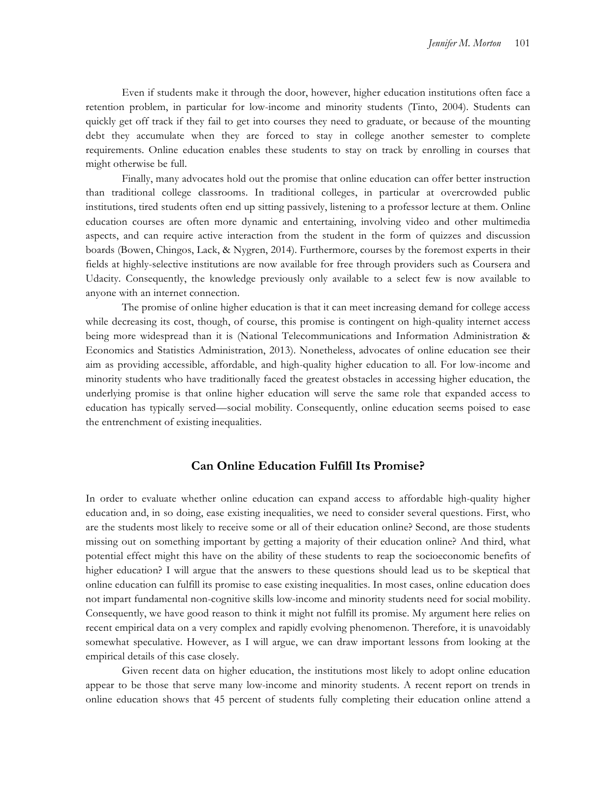Even if students make it through the door, however, higher education institutions often face a retention problem, in particular for low-income and minority students (Tinto, 2004). Students can quickly get off track if they fail to get into courses they need to graduate, or because of the mounting debt they accumulate when they are forced to stay in college another semester to complete requirements. Online education enables these students to stay on track by enrolling in courses that might otherwise be full.

Finally, many advocates hold out the promise that online education can offer better instruction than traditional college classrooms. In traditional colleges, in particular at overcrowded public institutions, tired students often end up sitting passively, listening to a professor lecture at them. Online education courses are often more dynamic and entertaining, involving video and other multimedia aspects, and can require active interaction from the student in the form of quizzes and discussion boards (Bowen, Chingos, Lack, & Nygren, 2014). Furthermore, courses by the foremost experts in their fields at highly-selective institutions are now available for free through providers such as Coursera and Udacity. Consequently, the knowledge previously only available to a select few is now available to anyone with an internet connection.

The promise of online higher education is that it can meet increasing demand for college access while decreasing its cost, though, of course, this promise is contingent on high-quality internet access being more widespread than it is (National Telecommunications and Information Administration & Economics and Statistics Administration, 2013). Nonetheless, advocates of online education see their aim as providing accessible, affordable, and high-quality higher education to all. For low-income and minority students who have traditionally faced the greatest obstacles in accessing higher education, the underlying promise is that online higher education will serve the same role that expanded access to education has typically served—social mobility. Consequently, online education seems poised to ease the entrenchment of existing inequalities.

## **Can Online Education Fulfill Its Promise?**

In order to evaluate whether online education can expand access to affordable high-quality higher education and, in so doing, ease existing inequalities, we need to consider several questions. First, who are the students most likely to receive some or all of their education online? Second, are those students missing out on something important by getting a majority of their education online? And third, what potential effect might this have on the ability of these students to reap the socioeconomic benefits of higher education? I will argue that the answers to these questions should lead us to be skeptical that online education can fulfill its promise to ease existing inequalities. In most cases, online education does not impart fundamental non-cognitive skills low-income and minority students need for social mobility. Consequently, we have good reason to think it might not fulfill its promise. My argument here relies on recent empirical data on a very complex and rapidly evolving phenomenon. Therefore, it is unavoidably somewhat speculative. However, as I will argue, we can draw important lessons from looking at the empirical details of this case closely.

Given recent data on higher education, the institutions most likely to adopt online education appear to be those that serve many low-income and minority students. A recent report on trends in online education shows that 45 percent of students fully completing their education online attend a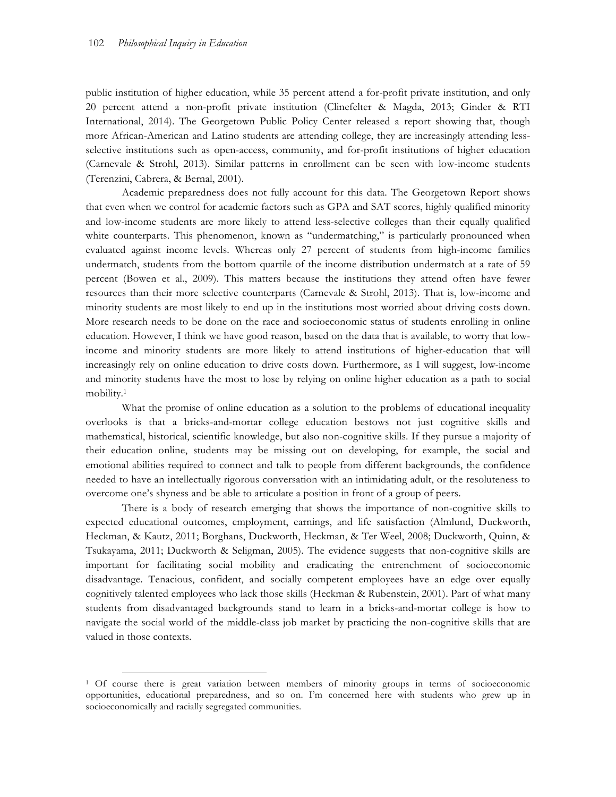public institution of higher education, while 35 percent attend a for-profit private institution, and only 20 percent attend a non-profit private institution (Clinefelter & Magda, 2013; Ginder & RTI International, 2014). The Georgetown Public Policy Center released a report showing that, though more African-American and Latino students are attending college, they are increasingly attending lessselective institutions such as open-access, community, and for-profit institutions of higher education (Carnevale & Strohl, 2013). Similar patterns in enrollment can be seen with low-income students (Terenzini, Cabrera, & Bernal, 2001).

Academic preparedness does not fully account for this data. The Georgetown Report shows that even when we control for academic factors such as GPA and SAT scores, highly qualified minority and low-income students are more likely to attend less-selective colleges than their equally qualified white counterparts. This phenomenon, known as "undermatching," is particularly pronounced when evaluated against income levels. Whereas only 27 percent of students from high-income families undermatch, students from the bottom quartile of the income distribution undermatch at a rate of 59 percent (Bowen et al., 2009). This matters because the institutions they attend often have fewer resources than their more selective counterparts (Carnevale & Strohl, 2013). That is, low-income and minority students are most likely to end up in the institutions most worried about driving costs down. More research needs to be done on the race and socioeconomic status of students enrolling in online education. However, I think we have good reason, based on the data that is available, to worry that lowincome and minority students are more likely to attend institutions of higher-education that will increasingly rely on online education to drive costs down. Furthermore, as I will suggest, low-income and minority students have the most to lose by relying on online higher education as a path to social mobility.1

What the promise of online education as a solution to the problems of educational inequality overlooks is that a bricks-and-mortar college education bestows not just cognitive skills and mathematical, historical, scientific knowledge, but also non-cognitive skills. If they pursue a majority of their education online, students may be missing out on developing, for example, the social and emotional abilities required to connect and talk to people from different backgrounds, the confidence needed to have an intellectually rigorous conversation with an intimidating adult, or the resoluteness to overcome one's shyness and be able to articulate a position in front of a group of peers.

There is a body of research emerging that shows the importance of non-cognitive skills to expected educational outcomes, employment, earnings, and life satisfaction (Almlund, Duckworth, Heckman, & Kautz, 2011; Borghans, Duckworth, Heckman, & Ter Weel, 2008; Duckworth, Quinn, & Tsukayama, 2011; Duckworth & Seligman, 2005). The evidence suggests that non-cognitive skills are important for facilitating social mobility and eradicating the entrenchment of socioeconomic disadvantage. Tenacious, confident, and socially competent employees have an edge over equally cognitively talented employees who lack those skills (Heckman & Rubenstein, 2001). Part of what many students from disadvantaged backgrounds stand to learn in a bricks-and-mortar college is how to navigate the social world of the middle-class job market by practicing the non-cognitive skills that are valued in those contexts.

 <sup>1</sup> Of course there is great variation between members of minority groups in terms of socioeconomic opportunities, educational preparedness, and so on. I'm concerned here with students who grew up in socioeconomically and racially segregated communities.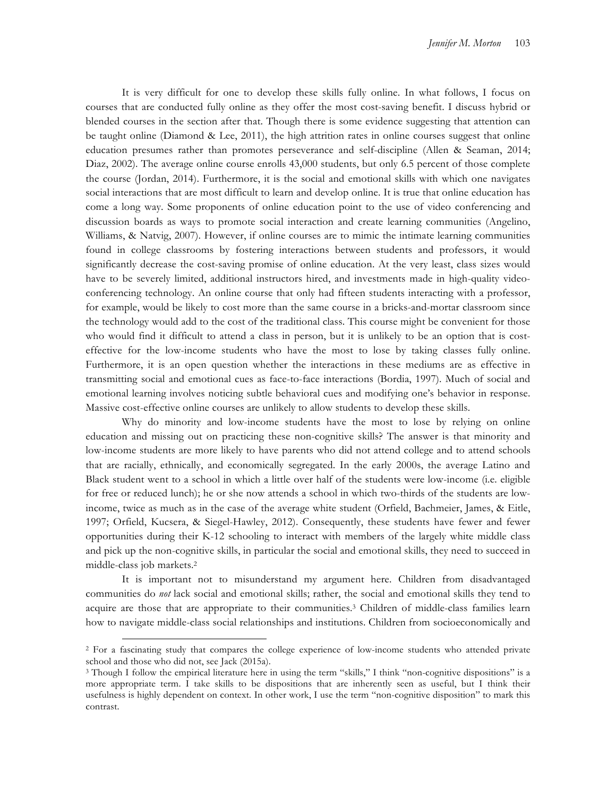It is very difficult for one to develop these skills fully online. In what follows, I focus on courses that are conducted fully online as they offer the most cost-saving benefit. I discuss hybrid or blended courses in the section after that. Though there is some evidence suggesting that attention can be taught online (Diamond & Lee, 2011), the high attrition rates in online courses suggest that online education presumes rather than promotes perseverance and self-discipline (Allen & Seaman, 2014; Diaz, 2002). The average online course enrolls 43,000 students, but only 6.5 percent of those complete the course (Jordan, 2014). Furthermore, it is the social and emotional skills with which one navigates social interactions that are most difficult to learn and develop online. It is true that online education has come a long way. Some proponents of online education point to the use of video conferencing and discussion boards as ways to promote social interaction and create learning communities (Angelino, Williams, & Natvig, 2007). However, if online courses are to mimic the intimate learning communities found in college classrooms by fostering interactions between students and professors, it would significantly decrease the cost-saving promise of online education. At the very least, class sizes would have to be severely limited, additional instructors hired, and investments made in high-quality videoconferencing technology. An online course that only had fifteen students interacting with a professor, for example, would be likely to cost more than the same course in a bricks-and-mortar classroom since the technology would add to the cost of the traditional class. This course might be convenient for those who would find it difficult to attend a class in person, but it is unlikely to be an option that is costeffective for the low-income students who have the most to lose by taking classes fully online. Furthermore, it is an open question whether the interactions in these mediums are as effective in transmitting social and emotional cues as face-to-face interactions (Bordia, 1997). Much of social and emotional learning involves noticing subtle behavioral cues and modifying one's behavior in response. Massive cost-effective online courses are unlikely to allow students to develop these skills.

Why do minority and low-income students have the most to lose by relying on online education and missing out on practicing these non-cognitive skills? The answer is that minority and low-income students are more likely to have parents who did not attend college and to attend schools that are racially, ethnically, and economically segregated. In the early 2000s, the average Latino and Black student went to a school in which a little over half of the students were low-income (i.e. eligible for free or reduced lunch); he or she now attends a school in which two-thirds of the students are lowincome, twice as much as in the case of the average white student (Orfield, Bachmeier, James, & Eitle, 1997; Orfield, Kucsera, & Siegel-Hawley, 2012). Consequently, these students have fewer and fewer opportunities during their K-12 schooling to interact with members of the largely white middle class and pick up the non-cognitive skills, in particular the social and emotional skills, they need to succeed in middle-class job markets.2

It is important not to misunderstand my argument here. Children from disadvantaged communities do *not* lack social and emotional skills; rather, the social and emotional skills they tend to acquire are those that are appropriate to their communities.3 Children of middle-class families learn how to navigate middle-class social relationships and institutions. Children from socioeconomically and

 <sup>2</sup> For a fascinating study that compares the college experience of low-income students who attended private school and those who did not, see Jack (2015a).

<sup>3</sup> Though I follow the empirical literature here in using the term "skills," I think "non-cognitive dispositions" is a more appropriate term. I take skills to be dispositions that are inherently seen as useful, but I think their usefulness is highly dependent on context. In other work, I use the term "non-cognitive disposition" to mark this contrast.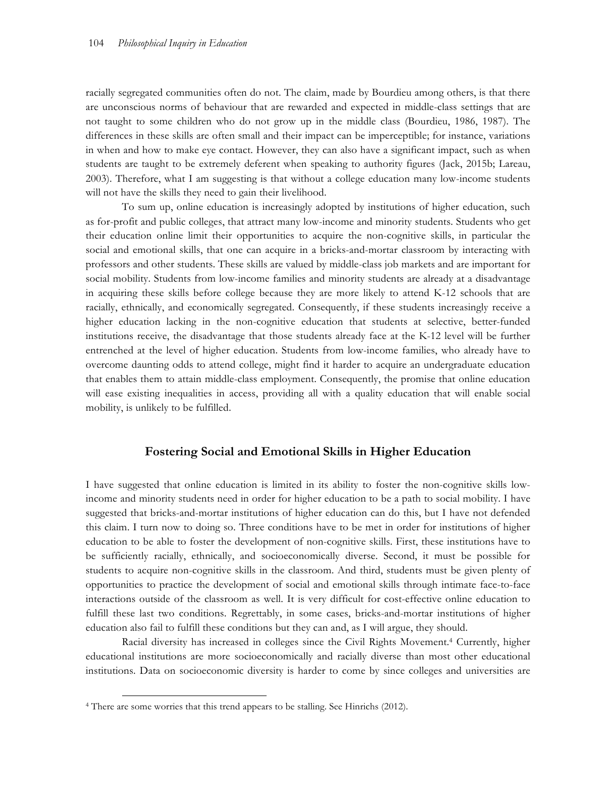racially segregated communities often do not. The claim, made by Bourdieu among others, is that there are unconscious norms of behaviour that are rewarded and expected in middle-class settings that are not taught to some children who do not grow up in the middle class (Bourdieu, 1986, 1987). The differences in these skills are often small and their impact can be imperceptible; for instance, variations in when and how to make eye contact. However, they can also have a significant impact, such as when students are taught to be extremely deferent when speaking to authority figures (Jack, 2015b; Lareau, 2003). Therefore, what I am suggesting is that without a college education many low-income students will not have the skills they need to gain their livelihood.

To sum up, online education is increasingly adopted by institutions of higher education, such as for-profit and public colleges, that attract many low-income and minority students. Students who get their education online limit their opportunities to acquire the non-cognitive skills, in particular the social and emotional skills, that one can acquire in a bricks-and-mortar classroom by interacting with professors and other students. These skills are valued by middle-class job markets and are important for social mobility. Students from low-income families and minority students are already at a disadvantage in acquiring these skills before college because they are more likely to attend K-12 schools that are racially, ethnically, and economically segregated. Consequently, if these students increasingly receive a higher education lacking in the non-cognitive education that students at selective, better-funded institutions receive, the disadvantage that those students already face at the K-12 level will be further entrenched at the level of higher education. Students from low-income families, who already have to overcome daunting odds to attend college, might find it harder to acquire an undergraduate education that enables them to attain middle-class employment. Consequently, the promise that online education will ease existing inequalities in access, providing all with a quality education that will enable social mobility, is unlikely to be fulfilled.

#### **Fostering Social and Emotional Skills in Higher Education**

I have suggested that online education is limited in its ability to foster the non-cognitive skills lowincome and minority students need in order for higher education to be a path to social mobility. I have suggested that bricks-and-mortar institutions of higher education can do this, but I have not defended this claim. I turn now to doing so. Three conditions have to be met in order for institutions of higher education to be able to foster the development of non-cognitive skills. First, these institutions have to be sufficiently racially, ethnically, and socioeconomically diverse. Second, it must be possible for students to acquire non-cognitive skills in the classroom. And third, students must be given plenty of opportunities to practice the development of social and emotional skills through intimate face-to-face interactions outside of the classroom as well. It is very difficult for cost-effective online education to fulfill these last two conditions. Regrettably, in some cases, bricks-and-mortar institutions of higher education also fail to fulfill these conditions but they can and, as I will argue, they should.

Racial diversity has increased in colleges since the Civil Rights Movement.4 Currently, higher educational institutions are more socioeconomically and racially diverse than most other educational institutions. Data on socioeconomic diversity is harder to come by since colleges and universities are

 <sup>4</sup> There are some worries that this trend appears to be stalling. See Hinrichs (2012).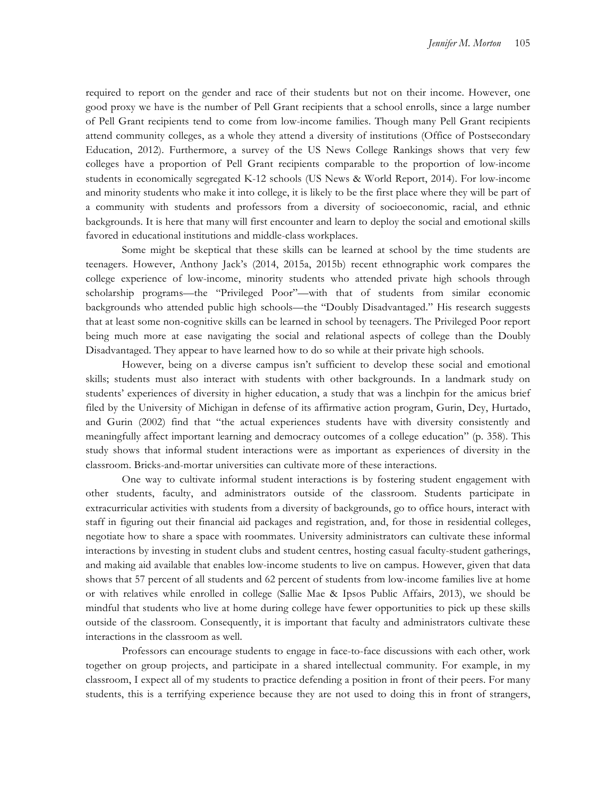required to report on the gender and race of their students but not on their income. However, one good proxy we have is the number of Pell Grant recipients that a school enrolls, since a large number of Pell Grant recipients tend to come from low-income families. Though many Pell Grant recipients attend community colleges, as a whole they attend a diversity of institutions (Office of Postsecondary Education, 2012). Furthermore, a survey of the US News College Rankings shows that very few colleges have a proportion of Pell Grant recipients comparable to the proportion of low-income students in economically segregated K-12 schools (US News & World Report, 2014). For low-income and minority students who make it into college, it is likely to be the first place where they will be part of a community with students and professors from a diversity of socioeconomic, racial, and ethnic backgrounds. It is here that many will first encounter and learn to deploy the social and emotional skills favored in educational institutions and middle-class workplaces.

Some might be skeptical that these skills can be learned at school by the time students are teenagers. However, Anthony Jack's (2014, 2015a, 2015b) recent ethnographic work compares the college experience of low-income, minority students who attended private high schools through scholarship programs—the "Privileged Poor"—with that of students from similar economic backgrounds who attended public high schools—the "Doubly Disadvantaged." His research suggests that at least some non-cognitive skills can be learned in school by teenagers. The Privileged Poor report being much more at ease navigating the social and relational aspects of college than the Doubly Disadvantaged. They appear to have learned how to do so while at their private high schools.

However, being on a diverse campus isn't sufficient to develop these social and emotional skills; students must also interact with students with other backgrounds. In a landmark study on students' experiences of diversity in higher education, a study that was a linchpin for the amicus brief filed by the University of Michigan in defense of its affirmative action program, Gurin, Dey, Hurtado, and Gurin (2002) find that "the actual experiences students have with diversity consistently and meaningfully affect important learning and democracy outcomes of a college education" (p. 358). This study shows that informal student interactions were as important as experiences of diversity in the classroom. Bricks-and-mortar universities can cultivate more of these interactions.

One way to cultivate informal student interactions is by fostering student engagement with other students, faculty, and administrators outside of the classroom. Students participate in extracurricular activities with students from a diversity of backgrounds, go to office hours, interact with staff in figuring out their financial aid packages and registration, and, for those in residential colleges, negotiate how to share a space with roommates. University administrators can cultivate these informal interactions by investing in student clubs and student centres, hosting casual faculty-student gatherings, and making aid available that enables low-income students to live on campus. However, given that data shows that 57 percent of all students and 62 percent of students from low-income families live at home or with relatives while enrolled in college (Sallie Mae & Ipsos Public Affairs, 2013), we should be mindful that students who live at home during college have fewer opportunities to pick up these skills outside of the classroom. Consequently, it is important that faculty and administrators cultivate these interactions in the classroom as well.

Professors can encourage students to engage in face-to-face discussions with each other, work together on group projects, and participate in a shared intellectual community. For example, in my classroom, I expect all of my students to practice defending a position in front of their peers. For many students, this is a terrifying experience because they are not used to doing this in front of strangers,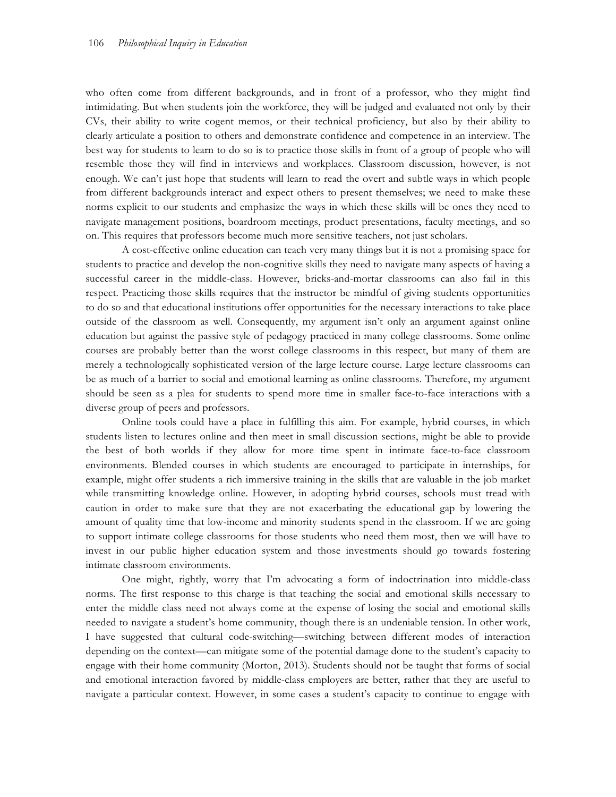who often come from different backgrounds, and in front of a professor, who they might find intimidating. But when students join the workforce, they will be judged and evaluated not only by their CVs, their ability to write cogent memos, or their technical proficiency, but also by their ability to clearly articulate a position to others and demonstrate confidence and competence in an interview. The best way for students to learn to do so is to practice those skills in front of a group of people who will resemble those they will find in interviews and workplaces. Classroom discussion, however, is not enough. We can't just hope that students will learn to read the overt and subtle ways in which people from different backgrounds interact and expect others to present themselves; we need to make these norms explicit to our students and emphasize the ways in which these skills will be ones they need to navigate management positions, boardroom meetings, product presentations, faculty meetings, and so on. This requires that professors become much more sensitive teachers, not just scholars.

A cost-effective online education can teach very many things but it is not a promising space for students to practice and develop the non-cognitive skills they need to navigate many aspects of having a successful career in the middle-class. However, bricks-and-mortar classrooms can also fail in this respect. Practicing those skills requires that the instructor be mindful of giving students opportunities to do so and that educational institutions offer opportunities for the necessary interactions to take place outside of the classroom as well. Consequently, my argument isn't only an argument against online education but against the passive style of pedagogy practiced in many college classrooms. Some online courses are probably better than the worst college classrooms in this respect, but many of them are merely a technologically sophisticated version of the large lecture course. Large lecture classrooms can be as much of a barrier to social and emotional learning as online classrooms. Therefore, my argument should be seen as a plea for students to spend more time in smaller face-to-face interactions with a diverse group of peers and professors.

Online tools could have a place in fulfilling this aim. For example, hybrid courses, in which students listen to lectures online and then meet in small discussion sections, might be able to provide the best of both worlds if they allow for more time spent in intimate face-to-face classroom environments. Blended courses in which students are encouraged to participate in internships, for example, might offer students a rich immersive training in the skills that are valuable in the job market while transmitting knowledge online. However, in adopting hybrid courses, schools must tread with caution in order to make sure that they are not exacerbating the educational gap by lowering the amount of quality time that low-income and minority students spend in the classroom. If we are going to support intimate college classrooms for those students who need them most, then we will have to invest in our public higher education system and those investments should go towards fostering intimate classroom environments.

One might, rightly, worry that I'm advocating a form of indoctrination into middle-class norms. The first response to this charge is that teaching the social and emotional skills necessary to enter the middle class need not always come at the expense of losing the social and emotional skills needed to navigate a student's home community, though there is an undeniable tension. In other work, I have suggested that cultural code-switching—switching between different modes of interaction depending on the context—can mitigate some of the potential damage done to the student's capacity to engage with their home community (Morton, 2013). Students should not be taught that forms of social and emotional interaction favored by middle-class employers are better, rather that they are useful to navigate a particular context. However, in some cases a student's capacity to continue to engage with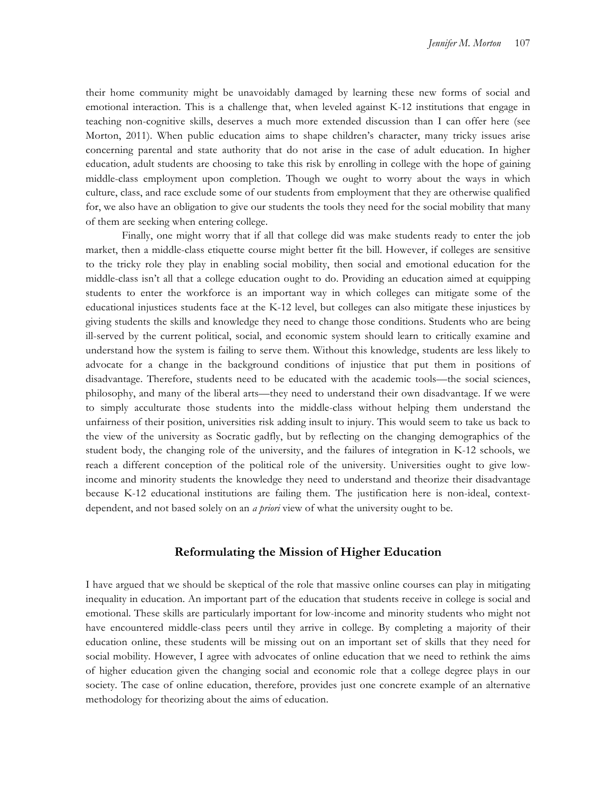their home community might be unavoidably damaged by learning these new forms of social and emotional interaction. This is a challenge that, when leveled against K-12 institutions that engage in teaching non-cognitive skills, deserves a much more extended discussion than I can offer here (see Morton, 2011). When public education aims to shape children's character, many tricky issues arise concerning parental and state authority that do not arise in the case of adult education. In higher education, adult students are choosing to take this risk by enrolling in college with the hope of gaining middle-class employment upon completion. Though we ought to worry about the ways in which culture, class, and race exclude some of our students from employment that they are otherwise qualified for, we also have an obligation to give our students the tools they need for the social mobility that many of them are seeking when entering college.

Finally, one might worry that if all that college did was make students ready to enter the job market, then a middle-class etiquette course might better fit the bill. However, if colleges are sensitive to the tricky role they play in enabling social mobility, then social and emotional education for the middle-class isn't all that a college education ought to do. Providing an education aimed at equipping students to enter the workforce is an important way in which colleges can mitigate some of the educational injustices students face at the K-12 level, but colleges can also mitigate these injustices by giving students the skills and knowledge they need to change those conditions. Students who are being ill-served by the current political, social, and economic system should learn to critically examine and understand how the system is failing to serve them. Without this knowledge, students are less likely to advocate for a change in the background conditions of injustice that put them in positions of disadvantage. Therefore, students need to be educated with the academic tools—the social sciences, philosophy, and many of the liberal arts—they need to understand their own disadvantage. If we were to simply acculturate those students into the middle-class without helping them understand the unfairness of their position, universities risk adding insult to injury. This would seem to take us back to the view of the university as Socratic gadfly, but by reflecting on the changing demographics of the student body, the changing role of the university, and the failures of integration in K-12 schools, we reach a different conception of the political role of the university. Universities ought to give lowincome and minority students the knowledge they need to understand and theorize their disadvantage because K-12 educational institutions are failing them. The justification here is non-ideal, contextdependent, and not based solely on an *a priori* view of what the university ought to be.

### **Reformulating the Mission of Higher Education**

I have argued that we should be skeptical of the role that massive online courses can play in mitigating inequality in education. An important part of the education that students receive in college is social and emotional. These skills are particularly important for low-income and minority students who might not have encountered middle-class peers until they arrive in college. By completing a majority of their education online, these students will be missing out on an important set of skills that they need for social mobility. However, I agree with advocates of online education that we need to rethink the aims of higher education given the changing social and economic role that a college degree plays in our society. The case of online education, therefore, provides just one concrete example of an alternative methodology for theorizing about the aims of education.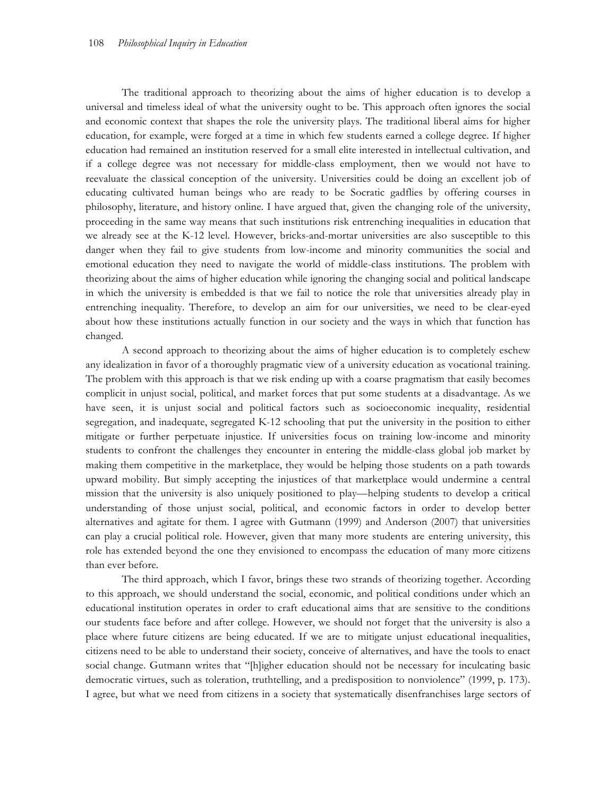The traditional approach to theorizing about the aims of higher education is to develop a universal and timeless ideal of what the university ought to be. This approach often ignores the social and economic context that shapes the role the university plays. The traditional liberal aims for higher education, for example, were forged at a time in which few students earned a college degree. If higher education had remained an institution reserved for a small elite interested in intellectual cultivation, and if a college degree was not necessary for middle-class employment, then we would not have to reevaluate the classical conception of the university. Universities could be doing an excellent job of educating cultivated human beings who are ready to be Socratic gadflies by offering courses in philosophy, literature, and history online. I have argued that, given the changing role of the university, proceeding in the same way means that such institutions risk entrenching inequalities in education that we already see at the K-12 level. However, bricks-and-mortar universities are also susceptible to this danger when they fail to give students from low-income and minority communities the social and emotional education they need to navigate the world of middle-class institutions. The problem with theorizing about the aims of higher education while ignoring the changing social and political landscape in which the university is embedded is that we fail to notice the role that universities already play in entrenching inequality. Therefore, to develop an aim for our universities, we need to be clear-eyed about how these institutions actually function in our society and the ways in which that function has changed.

A second approach to theorizing about the aims of higher education is to completely eschew any idealization in favor of a thoroughly pragmatic view of a university education as vocational training. The problem with this approach is that we risk ending up with a coarse pragmatism that easily becomes complicit in unjust social, political, and market forces that put some students at a disadvantage. As we have seen, it is unjust social and political factors such as socioeconomic inequality, residential segregation, and inadequate, segregated K-12 schooling that put the university in the position to either mitigate or further perpetuate injustice. If universities focus on training low-income and minority students to confront the challenges they encounter in entering the middle-class global job market by making them competitive in the marketplace, they would be helping those students on a path towards upward mobility. But simply accepting the injustices of that marketplace would undermine a central mission that the university is also uniquely positioned to play—helping students to develop a critical understanding of those unjust social, political, and economic factors in order to develop better alternatives and agitate for them. I agree with Gutmann (1999) and Anderson (2007) that universities can play a crucial political role. However, given that many more students are entering university, this role has extended beyond the one they envisioned to encompass the education of many more citizens than ever before.

The third approach, which I favor, brings these two strands of theorizing together. According to this approach, we should understand the social, economic, and political conditions under which an educational institution operates in order to craft educational aims that are sensitive to the conditions our students face before and after college. However, we should not forget that the university is also a place where future citizens are being educated. If we are to mitigate unjust educational inequalities, citizens need to be able to understand their society, conceive of alternatives, and have the tools to enact social change. Gutmann writes that "[h]igher education should not be necessary for inculcating basic democratic virtues, such as toleration, truthtelling, and a predisposition to nonviolence" (1999, p. 173). I agree, but what we need from citizens in a society that systematically disenfranchises large sectors of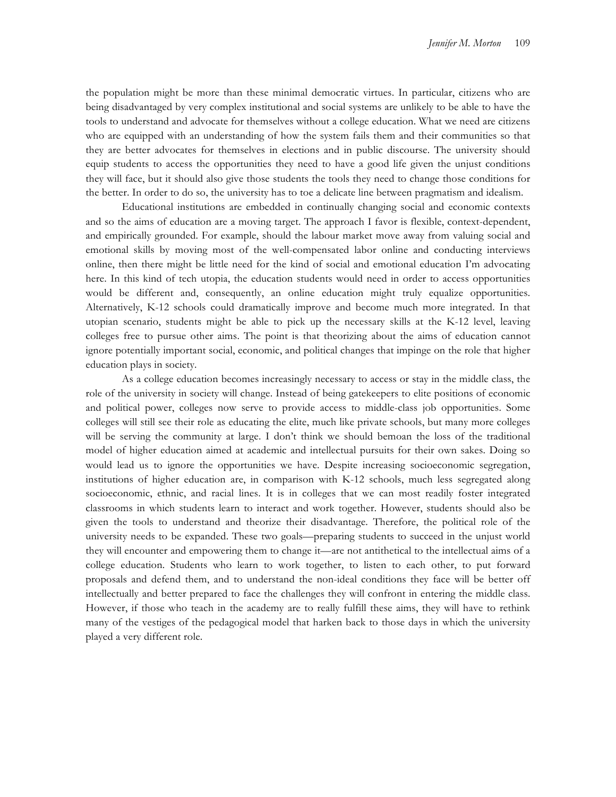the population might be more than these minimal democratic virtues. In particular, citizens who are being disadvantaged by very complex institutional and social systems are unlikely to be able to have the tools to understand and advocate for themselves without a college education. What we need are citizens who are equipped with an understanding of how the system fails them and their communities so that they are better advocates for themselves in elections and in public discourse. The university should equip students to access the opportunities they need to have a good life given the unjust conditions they will face, but it should also give those students the tools they need to change those conditions for the better. In order to do so, the university has to toe a delicate line between pragmatism and idealism.

Educational institutions are embedded in continually changing social and economic contexts and so the aims of education are a moving target. The approach I favor is flexible, context-dependent, and empirically grounded. For example, should the labour market move away from valuing social and emotional skills by moving most of the well-compensated labor online and conducting interviews online, then there might be little need for the kind of social and emotional education I'm advocating here. In this kind of tech utopia, the education students would need in order to access opportunities would be different and, consequently, an online education might truly equalize opportunities. Alternatively, K-12 schools could dramatically improve and become much more integrated. In that utopian scenario, students might be able to pick up the necessary skills at the K-12 level, leaving colleges free to pursue other aims. The point is that theorizing about the aims of education cannot ignore potentially important social, economic, and political changes that impinge on the role that higher education plays in society.

As a college education becomes increasingly necessary to access or stay in the middle class, the role of the university in society will change. Instead of being gatekeepers to elite positions of economic and political power, colleges now serve to provide access to middle-class job opportunities. Some colleges will still see their role as educating the elite, much like private schools, but many more colleges will be serving the community at large. I don't think we should bemoan the loss of the traditional model of higher education aimed at academic and intellectual pursuits for their own sakes. Doing so would lead us to ignore the opportunities we have. Despite increasing socioeconomic segregation, institutions of higher education are, in comparison with K-12 schools, much less segregated along socioeconomic, ethnic, and racial lines. It is in colleges that we can most readily foster integrated classrooms in which students learn to interact and work together. However, students should also be given the tools to understand and theorize their disadvantage. Therefore, the political role of the university needs to be expanded. These two goals—preparing students to succeed in the unjust world they will encounter and empowering them to change it—are not antithetical to the intellectual aims of a college education. Students who learn to work together, to listen to each other, to put forward proposals and defend them, and to understand the non-ideal conditions they face will be better off intellectually and better prepared to face the challenges they will confront in entering the middle class. However, if those who teach in the academy are to really fulfill these aims, they will have to rethink many of the vestiges of the pedagogical model that harken back to those days in which the university played a very different role.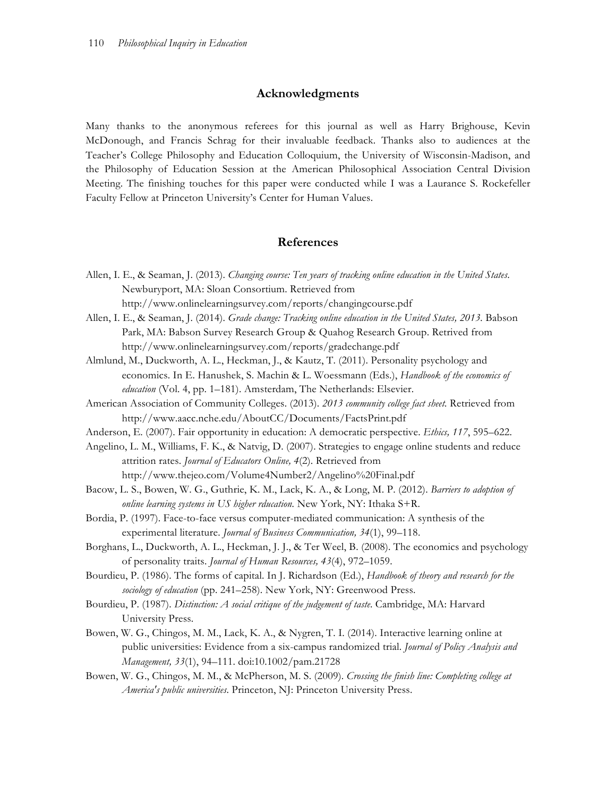# **Acknowledgments**

Many thanks to the anonymous referees for this journal as well as Harry Brighouse, Kevin McDonough, and Francis Schrag for their invaluable feedback. Thanks also to audiences at the Teacher's College Philosophy and Education Colloquium, the University of Wisconsin-Madison, and the Philosophy of Education Session at the American Philosophical Association Central Division Meeting. The finishing touches for this paper were conducted while I was a Laurance S. Rockefeller Faculty Fellow at Princeton University's Center for Human Values.

#### **References**

- Allen, I. E., & Seaman, J. (2013). *Changing course: Ten years of tracking online education in the United States*. Newburyport, MA: Sloan Consortium. Retrieved from http://www.onlinelearningsurvey.com/reports/changingcourse.pdf
- Allen, I. E., & Seaman, J. (2014). *Grade change: Tracking online education in the United States, 2013.* Babson Park, MA: Babson Survey Research Group & Quahog Research Group. Retrived from http://www.onlinelearningsurvey.com/reports/gradechange.pdf
- Almlund, M., Duckworth, A. L., Heckman, J., & Kautz, T. (2011). Personality psychology and economics. In E. Hanushek, S. Machin & L. Woessmann (Eds.), *Handbook of the economics of education* (Vol. 4, pp. 1–181). Amsterdam, The Netherlands: Elsevier.
- American Association of Community Colleges. (2013). *2013 community college fact sheet.* Retrieved from http://www.aacc.nche.edu/AboutCC/Documents/FactsPrint.pdf
- Anderson, E. (2007). Fair opportunity in education: A democratic perspective. *Ethics, 117*, 595–622.
- Angelino, L. M., Williams, F. K., & Natvig, D. (2007). Strategies to engage online students and reduce attrition rates. *Journal of Educators Online, 4*(2). Retrieved from http://www.thejeo.com/Volume4Number2/Angelino%20Final.pdf
- Bacow, L. S., Bowen, W. G., Guthrie, K. M., Lack, K. A., & Long, M. P. (2012). *Barriers to adoption of online learning systems in US higher rducation.* New York, NY: Ithaka S+R.
- Bordia, P. (1997). Face-to-face versus computer-mediated communication: A synthesis of the experimental literature. *Journal of Business Communication, 34*(1), 99–118.
- Borghans, L., Duckworth, A. L., Heckman, J. J., & Ter Weel, B. (2008). The economics and psychology of personality traits. *Journal of Human Resources, 43*(4), 972–1059.
- Bourdieu, P. (1986). The forms of capital. In J. Richardson (Ed.), *Handbook of theory and research for the sociology of education* (pp. 241–258). New York, NY: Greenwood Press.
- Bourdieu, P. (1987). *Distinction: A social critique of the judgement of taste*. Cambridge, MA: Harvard University Press.
- Bowen, W. G., Chingos, M. M., Lack, K. A., & Nygren, T. I. (2014). Interactive learning online at public universities: Evidence from a six-campus randomized trial. *Journal of Policy Analysis and Management, 33*(1), 94–111. doi:10.1002/pam.21728
- Bowen, W. G., Chingos, M. M., & McPherson, M. S. (2009). *Crossing the finish line: Completing college at America's public universities*. Princeton, NJ: Princeton University Press.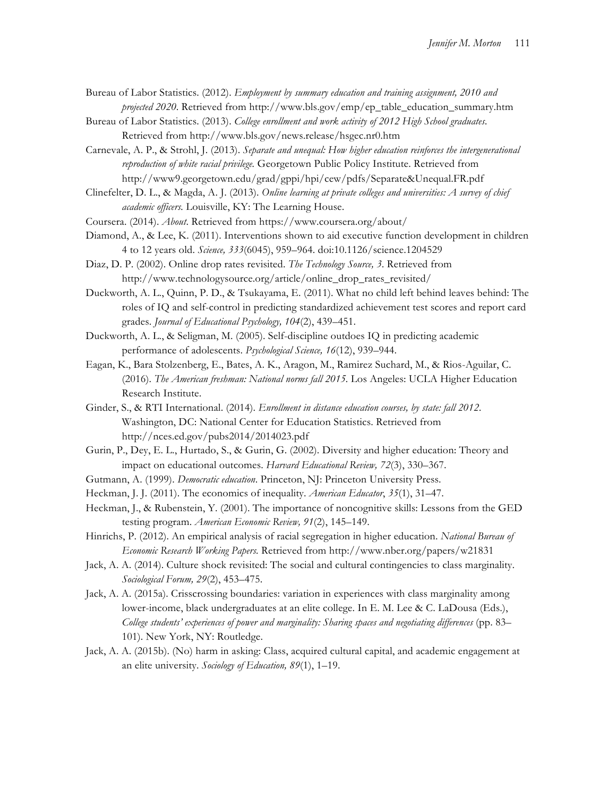Bureau of Labor Statistics. (2012). *Employment by summary education and training assignment, 2010 and projected 2020*. Retrieved from http://www.bls.gov/emp/ep\_table\_education\_summary.htm

- Bureau of Labor Statistics. (2013). *College enrollment and work activity of 2012 High School graduates*. Retrieved from http://www.bls.gov/news.release/hsgec.nr0.htm
- Carnevale, A. P., & Strohl, J. (2013). *Separate and unequal: How higher education reinforces the intergenerational reproduction of white racial privilege.* Georgetown Public Policy Institute. Retrieved from http://www9.georgetown.edu/grad/gppi/hpi/cew/pdfs/Separate&Unequal.FR.pdf
- Clinefelter, D. L., & Magda, A. J. (2013). *Online learning at private colleges and universities: A survey of chief academic officers.* Louisville, KY: The Learning House.
- Coursera. (2014). *About*. Retrieved from https://www.coursera.org/about/
- Diamond, A., & Lee, K. (2011). Interventions shown to aid executive function development in children 4 to 12 years old. *Science, 333*(6045), 959–964. doi:10.1126/science.1204529
- Diaz, D. P. (2002). Online drop rates revisited. *The Technology Source, 3*. Retrieved from http://www.technologysource.org/article/online\_drop\_rates\_revisited/
- Duckworth, A. L., Quinn, P. D., & Tsukayama, E. (2011). What no child left behind leaves behind: The roles of IQ and self-control in predicting standardized achievement test scores and report card grades. *Journal of Educational Psychology, 104*(2), 439–451.
- Duckworth, A. L., & Seligman, M. (2005). Self-discipline outdoes IQ in predicting academic performance of adolescents. *Psychological Science, 16*(12), 939–944.
- Eagan, K., Bara Stolzenberg, E., Bates, A. K., Aragon, M., Ramirez Suchard, M., & Rios-Aguilar, C. (2016). *The American freshman: National norms fall 2015.* Los Angeles: UCLA Higher Education Research Institute.
- Ginder, S., & RTI International. (2014). *Enrollment in distance education courses, by state: fall 2012*. Washington, DC: National Center for Education Statistics. Retrieved from http://nces.ed.gov/pubs2014/2014023.pdf
- Gurin, P., Dey, E. L., Hurtado, S., & Gurin, G. (2002). Diversity and higher education: Theory and impact on educational outcomes. *Harvard Educational Review, 72*(3), 330–367.
- Gutmann, A. (1999). *Democratic education*. Princeton, NJ: Princeton University Press.
- Heckman, J. J. (2011). The economics of inequality. *American Educator*, *35*(1), 31–47.
- Heckman, J., & Rubenstein, Y. (2001). The importance of noncognitive skills: Lessons from the GED testing program. *American Economic Review, 91*(2), 145–149.
- Hinrichs, P. (2012). An empirical analysis of racial segregation in higher education. *National Bureau of Economic Research Working Papers.* Retrieved from http://www.nber.org/papers/w21831
- Jack, A. A. (2014). Culture shock revisited: The social and cultural contingencies to class marginality. *Sociological Forum, 29*(2), 453–475.
- Jack, A. A. (2015a). Crisscrossing boundaries: variation in experiences with class marginality among lower-income, black undergraduates at an elite college. In E. M. Lee & C. LaDousa (Eds.), *College students' experiences of power and marginality: Sharing spaces and negotiating differences* (pp. 83– 101). New York, NY: Routledge.
- Jack, A. A. (2015b). (No) harm in asking: Class, acquired cultural capital, and academic engagement at an elite university. *Sociology of Education, 89*(1), 1–19.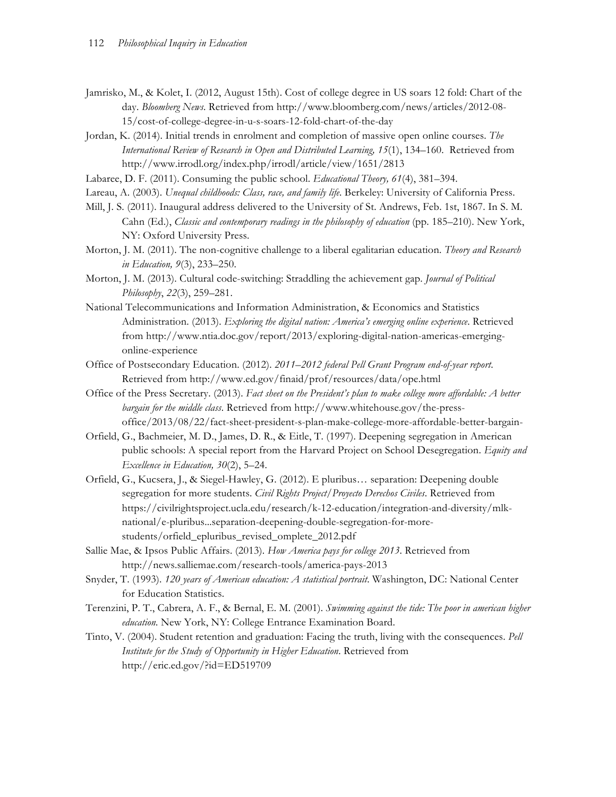- Jamrisko, M., & Kolet, I. (2012, August 15th). Cost of college degree in US soars 12 fold: Chart of the day. *Bloomberg News*. Retrieved from http://www.bloomberg.com/news/articles/2012-08- 15/cost-of-college-degree-in-u-s-soars-12-fold-chart-of-the-day
- Jordan, K. (2014). Initial trends in enrolment and completion of massive open online courses. *The International Review of Research in Open and Distributed Learning, 15*(1), 134–160. Retrieved from http://www.irrodl.org/index.php/irrodl/article/view/1651/2813
- Labaree, D. F. (2011). Consuming the public school. *Educational Theory, 61*(4), 381–394.
- Lareau, A. (2003). *Unequal childhoods: Class, race, and family life*. Berkeley: University of California Press.
- Mill, J. S. (2011). Inaugural address delivered to the University of St. Andrews, Feb. 1st, 1867. In S. M. Cahn (Ed.), *Classic and contemporary readings in the philosophy of education* (pp. 185–210). New York, NY: Oxford University Press.
- Morton, J. M. (2011). The non-cognitive challenge to a liberal egalitarian education. *Theory and Research in Education, 9*(3), 233–250.
- Morton, J. M. (2013). Cultural code-switching: Straddling the achievement gap. *Journal of Political Philosophy*, *22*(3), 259–281.
- National Telecommunications and Information Administration, & Economics and Statistics Administration. (2013). *Exploring the digital nation: America's emerging online experience*. Retrieved from http://www.ntia.doc.gov/report/2013/exploring-digital-nation-americas-emergingonline-experience
- Office of Postsecondary Education. (2012). *2011–2012 federal Pell Grant Program end-of-year report*. Retrieved from http://www.ed.gov/finaid/prof/resources/data/ope.html
- Office of the Press Secretary. (2013). *Fact sheet on the President's plan to make college more affordable: A better bargain for the middle class*. Retrieved from http://www.whitehouse.gov/the-pressoffice/2013/08/22/fact-sheet-president-s-plan-make-college-more-affordable-better-bargain-
- Orfield, G., Bachmeier, M. D., James, D. R., & Eitle, T. (1997). Deepening segregation in American public schools: A special report from the Harvard Project on School Desegregation. *Equity and Excellence in Education, 30*(2), 5–24.
- Orfield, G., Kucsera, J., & Siegel-Hawley, G. (2012). E pluribus… separation: Deepening double segregation for more students. *Civil Rights Project/Proyecto Derechos Civiles*. Retrieved from https://civilrightsproject.ucla.edu/research/k-12-education/integration-and-diversity/mlknational/e-pluribus...separation-deepening-double-segregation-for-morestudents/orfield\_epluribus\_revised\_omplete\_2012.pdf
- Sallie Mae, & Ipsos Public Affairs. (2013). *How America pays for college 2013*. Retrieved from http://news.salliemae.com/research-tools/america-pays-2013
- Snyder, T. (1993). *120 years of American education: A statistical portrait*. Washington, DC: National Center for Education Statistics.
- Terenzini, P. T., Cabrera, A. F., & Bernal, E. M. (2001). *Swimming against the tide: The poor in american higher education.* New York, NY: College Entrance Examination Board.
- Tinto, V. (2004). Student retention and graduation: Facing the truth, living with the consequences. *Pell Institute for the Study of Opportunity in Higher Education*. Retrieved from http://eric.ed.gov/?id=ED519709